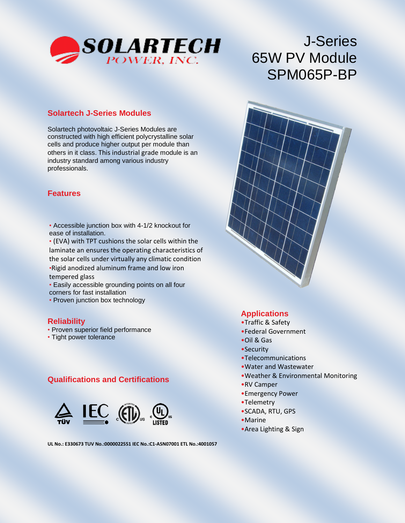

# J-Series 65W PV Module SPM065P-BP

#### **Solartech J-Series Modules**

Solartech photovoltaic J-Series Modules are constructed with high efficient polycrystalline solar cells and produce higher output per module than others in it class. This industrial grade module is an industry standard among various industry professionals.

#### **Features**

Class 1, Division 2, (C1D2) Group C and D

• Accessible junction box with 4-1/2 knockout for ease of installation.

• (EVA) with TPT cushions the solar cells within the laminate an ensures the operating characteristics of the solar cells under virtually any climatic condition •Rigid anodized aluminum frame and low iron tempered glass

• Easily accessible grounding points on all four corners for fast installation

• Proven junction box technology

#### **Reliability**

- Proven superior field performance
- Tight power tolerance

## **Qualifications and Certifications**



**UL No.: E330673 TUV No.:0000022551 IEC No.:C1-ASN07001 ETL No.:4001057**

## **Applications**

- •Traffic & Safety
- •Federal Government
- •Oil & Gas
- •Security
- •Telecommunications
- •Water and Wastewater
- •Weather & Environmental Monitoring
- •RV Camper
- •Emergency Power
- •Telemetry
- •SCADA, RTU, GPS
- •Marine
- •Area Lighting & Sign